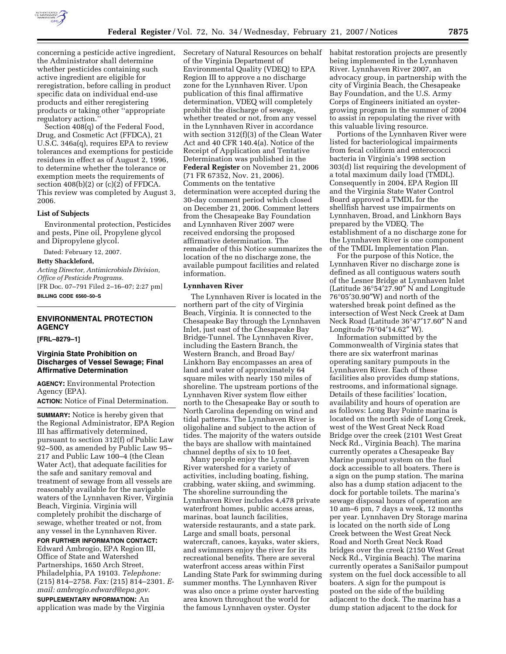

concerning a pesticide active ingredient, the Administrator shall determine whether pesticides containing such active ingredient are eligible for reregistration, before calling in product specific data on individual end-use products and either reregistering products or taking other ''appropriate regulatory action.''

Section 408(q) of the Federal Food, Drug, and Cosmetic Act (FFDCA), 21 U.S.C. 346a(q), requires EPA to review tolerances and exemptions for pesticide residues in effect as of August 2, 1996, to determine whether the tolerance or exemption meets the requirements of section  $408(b)(2)$  or  $(c)(2)$  of FFDCA. This review was completed by August 3, 2006.

#### **List of Subjects**

Environmental protection, Pesticides and pests, Pine oil, Propylene glycol and Dipropylene glycol.

Dated: February 12, 2007.

**Betty Shackleford,** 

*Acting Director, Antimicrobials Division, Office of Pesticide Programs.*  [FR Doc. 07–791 Filed 2–16–07; 2:27 pm] **BILLING CODE 6560–50–S** 

# **ENVIRONMENTAL PROTECTION AGENCY**

## **[FRL–8279–1]**

## **Virginia State Prohibition on Discharges of Vessel Sewage; Final Affirmative Determination**

**AGENCY:** Environmental Protection Agency (EPA).

**ACTION:** Notice of Final Determination.

**SUMMARY:** Notice is hereby given that the Regional Administrator, EPA Region III has affirmatively determined, pursuant to section 312(f) of Public Law 92–500, as amended by Public Law 95– 217 and Public Law 100–4 (the Clean Water Act), that adequate facilities for the safe and sanitary removal and treatment of sewage from all vessels are reasonably available for the navigable waters of the Lynnhaven River, Virginia Beach, Virginia. Virginia will completely prohibit the discharge of sewage, whether treated or not, from any vessel in the Lynnhaven River.

**FOR FURTHER INFORMATION CONTACT:**  Edward Ambrogio, EPA Region III, Office of State and Watershed Partnerships, 1650 Arch Street, Philadelphia, PA 19103. *Telephone:*  (215) 814–2758. *Fax:* (215) 814–2301. *Email: ambrogio.edward@epa.gov*. **SUPPLEMENTARY INFORMATION:** An application was made by the Virginia

Secretary of Natural Resources on behalf of the Virginia Department of Environmental Quality (VDEQ) to EPA Region III to approve a no discharge zone for the Lynnhaven River. Upon publication of this final affirmative determination, VDEQ will completely prohibit the discharge of sewage, whether treated or not, from any vessel in the Lynnhaven River in accordance with section 312(f)(3) of the Clean Water Act and 40 CFR 140.4(a). Notice of the Receipt of Application and Tentative Determination was published in the **Federal Register** on November 21, 2006 (71 FR 67352, Nov. 21, 2006). Comments on the tentative determination were accepted during the 30-day comment period which closed on December 21, 2006. Comment letters from the Chesapeake Bay Foundation and Lynnhaven River 2007 were received endorsing the proposed affirmative determination. The remainder of this Notice summarizes the location of the no discharge zone, the available pumpout facilities and related information.

#### **Lynnhaven River**

The Lynnhaven River is located in the northern part of the city of Virginia Beach, Virginia. It is connected to the Chesapeake Bay through the Lynnhaven Inlet, just east of the Chesapeake Bay Bridge-Tunnel. The Lynnhaven River, including the Eastern Branch, the Western Branch, and Broad Bay/ Linkhorn Bay encompasses an area of land and water of approximately 64 square miles with nearly 150 miles of shoreline. The upstream portions of the Lynnhaven River system flow either north to the Chesapeake Bay or south to North Carolina depending on wind and tidal patterns. The Lynnhaven River is oligohaline and subject to the action of tides. The majority of the waters outside the bays are shallow with maintained channel depths of six to 10 feet.

Many people enjoy the Lynnhaven River watershed for a variety of activities, including boating, fishing, crabbing, water skiing, and swimming. The shoreline surrounding the Lynnhaven River includes 4,478 private waterfront homes, public access areas, marinas, boat launch facilities, waterside restaurants, and a state park. Large and small boats, personal watercraft, canoes, kayaks, water skiers, and swimmers enjoy the river for its recreational benefits. There are several waterfront access areas within First Landing State Park for swimming during summer months. The Lynnhaven River was also once a prime oyster harvesting area known throughout the world for the famous Lynnhaven oyster. Oyster

habitat restoration projects are presently being implemented in the Lynnhaven River. Lynnhaven River 2007, an advocacy group, in partnership with the city of Virginia Beach, the Chesapeake Bay Foundation, and the U.S. Army Corps of Engineers initiated an oystergrowing program in the summer of 2004 to assist in repopulating the river with this valuable living resource.

Portions of the Lynnhaven River were listed for bacteriological impairments from fecal coliform and enterococci bacteria in Virginia's 1998 section 303(d) list requiring the development of a total maximum daily load (TMDL). Consequently in 2004, EPA Region III and the Virginia State Water Control Board approved a TMDL for the shellfish harvest use impairments on Lynnhaven, Broad, and Linkhorn Bays prepared by the VDEQ. The establishment of a no discharge zone for the Lynnhaven River is one component of the TMDL Implementation Plan.

For the purpose of this Notice, the Lynnhaven River no discharge zone is defined as all contiguous waters south of the Lesner Bridge at Lynnhaven Inlet (Latitude 36°54′27.90″ N and Longitude 76°05′30.90″W) and north of the watershed break point defined as the intersection of West Neck Creek at Dam Neck Road (Latitude 36°47′17.60″ N and Longitude 76°04′14.62″ W).

Information submitted by the Commonwealth of Virginia states that there are six waterfront marinas operating sanitary pumpouts in the Lynnhaven River. Each of these facilities also provides dump stations, restrooms, and informational signage. Details of these facilities' location, availability and hours of operation are as follows: Long Bay Pointe marina is located on the north side of Long Creek, west of the West Great Neck Road Bridge over the creek (2101 West Great Neck Rd., Virginia Beach). The marina currently operates a Chesapeake Bay Marine pumpout system on the fuel dock accessible to all boaters. There is a sign on the pump station. The marina also has a dump station adjacent to the dock for portable toilets. The marina's sewage disposal hours of operation are 10 am–6 pm, 7 days a week, 12 months per year. Lynnhaven Dry Storage marina is located on the north side of Long Creek between the West Great Neck Road and North Great Neck Road bridges over the creek (2150 West Great Neck Rd., Virginia Beach). The marina currently operates a SaniSailor pumpout system on the fuel dock accessible to all boaters. A sign for the pumpout is posted on the side of the building adjacent to the dock. The marina has a dump station adjacent to the dock for